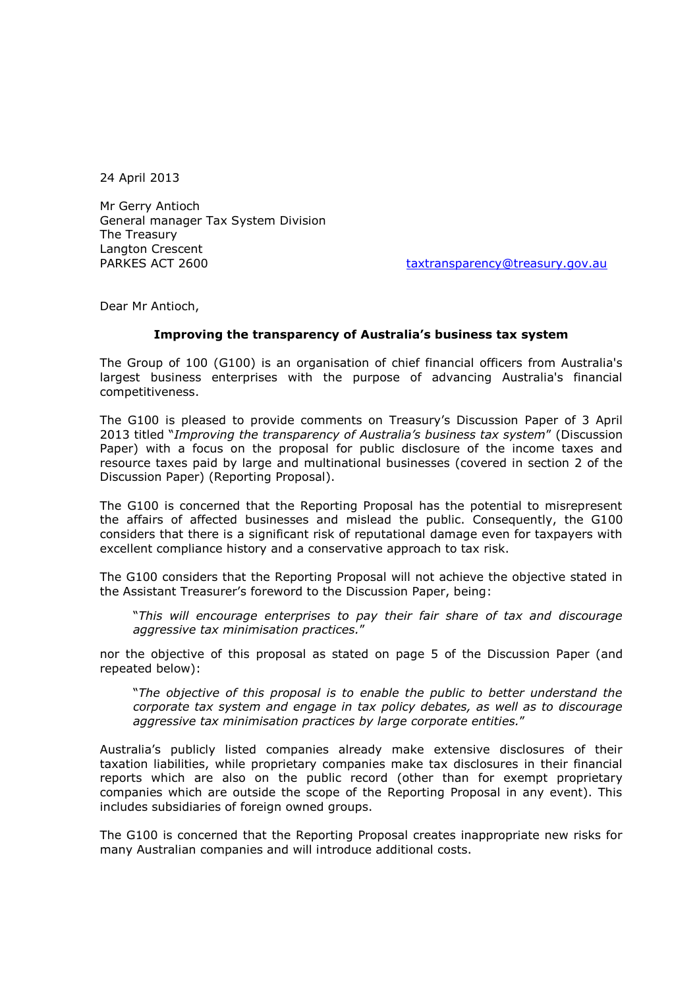24 April 2013

Mr Gerry Antioch General manager Tax System Division The Treasury Langton Crescent PARKES ACT 2600 [taxtransparency@treasury.gov.au](mailto:taxtransparency@treasury.gov.au)

Dear Mr Antioch,

## **Improving the transparency of Australia's business tax system**

The Group of 100 (G100) is an organisation of chief financial officers from Australia's largest business enterprises with the purpose of advancing Australia's financial competitiveness.

The G100 is pleased to provide comments on Treasury's Discussion Paper of 3 April 2013 titled "*Improving the transparency of Australia's business tax system*" (Discussion Paper) with a focus on the proposal for public disclosure of the income taxes and resource taxes paid by large and multinational businesses (covered in section 2 of the Discussion Paper) (Reporting Proposal).

The G100 is concerned that the Reporting Proposal has the potential to misrepresent the affairs of affected businesses and mislead the public. Consequently, the G100 considers that there is a significant risk of reputational damage even for taxpayers with excellent compliance history and a conservative approach to tax risk.

The G100 considers that the Reporting Proposal will not achieve the objective stated in the Assistant Treasurer's foreword to the Discussion Paper, being:

"*This will encourage enterprises to pay their fair share of tax and discourage aggressive tax minimisation practices.*"

nor the objective of this proposal as stated on page 5 of the Discussion Paper (and repeated below):

"*The objective of this proposal is to enable the public to better understand the corporate tax system and engage in tax policy debates, as well as to discourage aggressive tax minimisation practices by large corporate entities.*"

Australia's publicly listed companies already make extensive disclosures of their taxation liabilities, while proprietary companies make tax disclosures in their financial reports which are also on the public record (other than for exempt proprietary companies which are outside the scope of the Reporting Proposal in any event). This includes subsidiaries of foreign owned groups.

The G100 is concerned that the Reporting Proposal creates inappropriate new risks for many Australian companies and will introduce additional costs.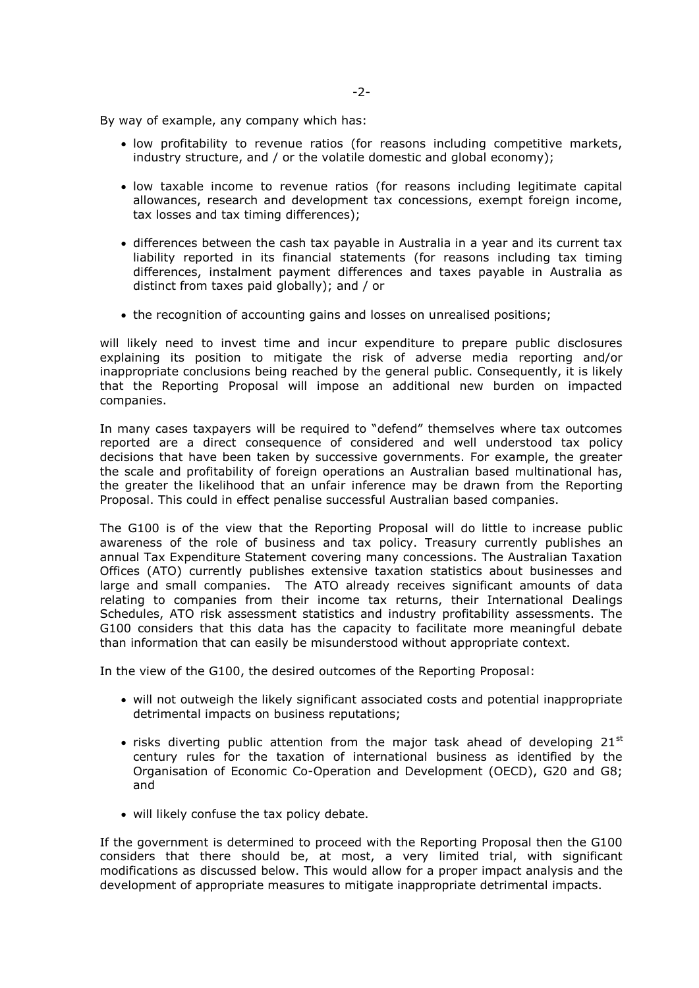By way of example, any company which has:

- low profitability to revenue ratios (for reasons including competitive markets, industry structure, and / or the volatile domestic and global economy);
- low taxable income to revenue ratios (for reasons including legitimate capital allowances, research and development tax concessions, exempt foreign income, tax losses and tax timing differences);
- differences between the cash tax payable in Australia in a year and its current tax liability reported in its financial statements (for reasons including tax timing differences, instalment payment differences and taxes payable in Australia as distinct from taxes paid globally); and / or
- the recognition of accounting gains and losses on unrealised positions;

will likely need to invest time and incur expenditure to prepare public disclosures explaining its position to mitigate the risk of adverse media reporting and/or inappropriate conclusions being reached by the general public. Consequently, it is likely that the Reporting Proposal will impose an additional new burden on impacted companies.

In many cases taxpayers will be required to "defend" themselves where tax outcomes reported are a direct consequence of considered and well understood tax policy decisions that have been taken by successive governments. For example, the greater the scale and profitability of foreign operations an Australian based multinational has, the greater the likelihood that an unfair inference may be drawn from the Reporting Proposal. This could in effect penalise successful Australian based companies.

The G100 is of the view that the Reporting Proposal will do little to increase public awareness of the role of business and tax policy. Treasury currently publishes an annual Tax Expenditure Statement covering many concessions. The Australian Taxation Offices (ATO) currently publishes extensive taxation statistics about businesses and large and small companies. The ATO already receives significant amounts of data relating to companies from their income tax returns, their International Dealings Schedules, ATO risk assessment statistics and industry profitability assessments. The G100 considers that this data has the capacity to facilitate more meaningful debate than information that can easily be misunderstood without appropriate context.

In the view of the G100, the desired outcomes of the Reporting Proposal:

- will not outweigh the likely significant associated costs and potential inappropriate detrimental impacts on business reputations;
- risks diverting public attention from the major task ahead of developing  $21^{st}$ century rules for the taxation of international business as identified by the Organisation of Economic Co-Operation and Development (OECD), G20 and G8; and
- will likely confuse the tax policy debate.

If the government is determined to proceed with the Reporting Proposal then the G100 considers that there should be, at most, a very limited trial, with significant modifications as discussed below. This would allow for a proper impact analysis and the development of appropriate measures to mitigate inappropriate detrimental impacts.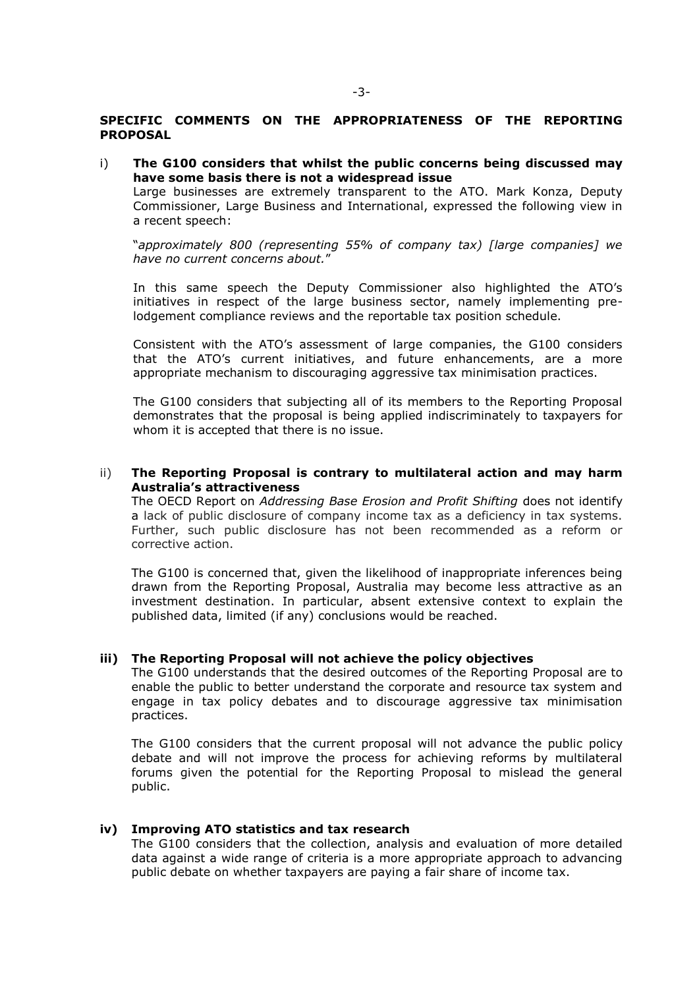**SPECIFIC COMMENTS ON THE APPROPRIATENESS OF THE REPORTING PROPOSAL** 

i) **The G100 considers that whilst the public concerns being discussed may have some basis there is not a widespread issue**

Large businesses are extremely transparent to the ATO. Mark Konza, Deputy Commissioner, Large Business and International, expressed the following view in a recent speech:

"*approximately 800 (representing 55% of company tax) [large companies] we have no current concerns about.*"

In this same speech the Deputy Commissioner also highlighted the ATO's initiatives in respect of the large business sector, namely implementing prelodgement compliance reviews and the reportable tax position schedule.

Consistent with the ATO's assessment of large companies, the G100 considers that the ATO's current initiatives, and future enhancements, are a more appropriate mechanism to discouraging aggressive tax minimisation practices.

The G100 considers that subjecting all of its members to the Reporting Proposal demonstrates that the proposal is being applied indiscriminately to taxpayers for whom it is accepted that there is no issue.

# ii) **The Reporting Proposal is contrary to multilateral action and may harm Australia's attractiveness**

The OECD Report on *Addressing Base Erosion and Profit Shifting* does not identify a lack of public disclosure of company income tax as a deficiency in tax systems. Further, such public disclosure has not been recommended as a reform or corrective action.

The G100 is concerned that, given the likelihood of inappropriate inferences being drawn from the Reporting Proposal, Australia may become less attractive as an investment destination. In particular, absent extensive context to explain the published data, limited (if any) conclusions would be reached.

## **iii) The Reporting Proposal will not achieve the policy objectives**

The G100 understands that the desired outcomes of the Reporting Proposal are to enable the public to better understand the corporate and resource tax system and engage in tax policy debates and to discourage aggressive tax minimisation practices.

The G100 considers that the current proposal will not advance the public policy debate and will not improve the process for achieving reforms by multilateral forums given the potential for the Reporting Proposal to mislead the general public.

## **iv) Improving ATO statistics and tax research**

The G100 considers that the collection, analysis and evaluation of more detailed data against a wide range of criteria is a more appropriate approach to advancing public debate on whether taxpayers are paying a fair share of income tax.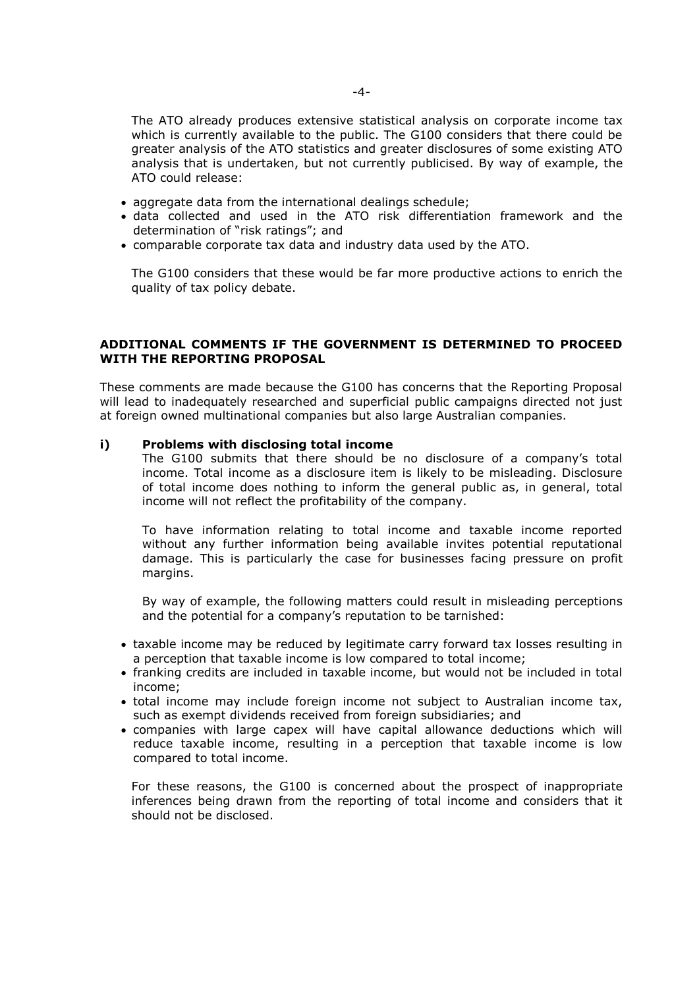The ATO already produces extensive statistical analysis on corporate income tax which is currently available to the public. The G100 considers that there could be greater analysis of the ATO statistics and greater disclosures of some existing ATO analysis that is undertaken, but not currently publicised. By way of example, the ATO could release:

- aggregate data from the international dealings schedule;
- data collected and used in the ATO risk differentiation framework and the determination of "risk ratings"; and
- comparable corporate tax data and industry data used by the ATO.

The G100 considers that these would be far more productive actions to enrich the quality of tax policy debate.

## **ADDITIONAL COMMENTS IF THE GOVERNMENT IS DETERMINED TO PROCEED WITH THE REPORTING PROPOSAL**

These comments are made because the G100 has concerns that the Reporting Proposal will lead to inadequately researched and superficial public campaigns directed not just at foreign owned multinational companies but also large Australian companies.

#### **i) Problems with disclosing total income**

The G100 submits that there should be no disclosure of a company's total income. Total income as a disclosure item is likely to be misleading. Disclosure of total income does nothing to inform the general public as, in general, total income will not reflect the profitability of the company.

To have information relating to total income and taxable income reported without any further information being available invites potential reputational damage. This is particularly the case for businesses facing pressure on profit margins.

By way of example, the following matters could result in misleading perceptions and the potential for a company's reputation to be tarnished:

- taxable income may be reduced by legitimate carry forward tax losses resulting in a perception that taxable income is low compared to total income;
- franking credits are included in taxable income, but would not be included in total income;
- total income may include foreign income not subject to Australian income tax, such as exempt dividends received from foreign subsidiaries; and
- companies with large capex will have capital allowance deductions which will reduce taxable income, resulting in a perception that taxable income is low compared to total income.

For these reasons, the G100 is concerned about the prospect of inappropriate inferences being drawn from the reporting of total income and considers that it should not be disclosed.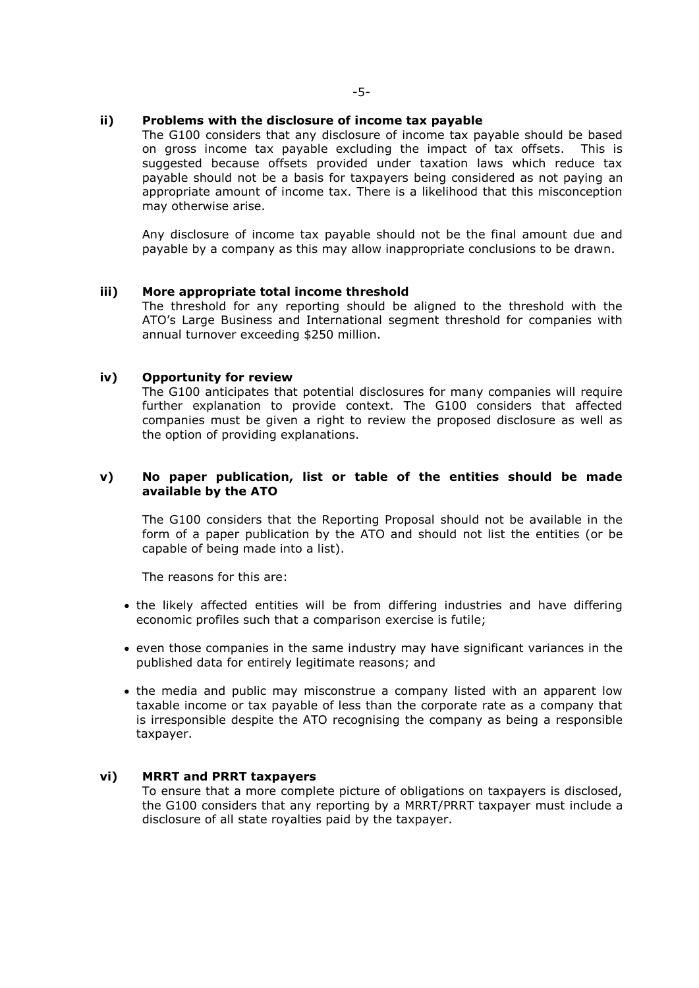## **ii) Problems with the disclosure of income tax payable**

The G100 considers that any disclosure of income tax payable should be based on gross income tax payable excluding the impact of tax offsets. This is suggested because offsets provided under taxation laws which reduce tax payable should not be a basis for taxpayers being considered as not paying an appropriate amount of income tax. There is a likelihood that this misconception may otherwise arise.

Any disclosure of income tax payable should not be the final amount due and payable by a company as this may allow inappropriate conclusions to be drawn.

## **iii) More appropriate total income threshold**

The threshold for any reporting should be aligned to the threshold with the ATO's Large Business and International segment threshold for companies with annual turnover exceeding \$250 million.

## **iv) Opportunity for review**

The G100 anticipates that potential disclosures for many companies will require further explanation to provide context. The G100 considers that affected companies must be given a right to review the proposed disclosure as well as the option of providing explanations.

# **v) No paper publication, list or table of the entities should be made available by the ATO**

The G100 considers that the Reporting Proposal should not be available in the form of a paper publication by the ATO and should not list the entities (or be capable of being made into a list).

The reasons for this are:

- the likely affected entities will be from differing industries and have differing economic profiles such that a comparison exercise is futile;
- even those companies in the same industry may have significant variances in the published data for entirely legitimate reasons; and
- the media and public may misconstrue a company listed with an apparent low taxable income or tax payable of less than the corporate rate as a company that is irresponsible despite the ATO recognising the company as being a responsible taxpayer.

## **vi) MRRT and PRRT taxpayers**

To ensure that a more complete picture of obligations on taxpayers is disclosed, the G100 considers that any reporting by a MRRT/PRRT taxpayer must include a disclosure of all state royalties paid by the taxpayer.